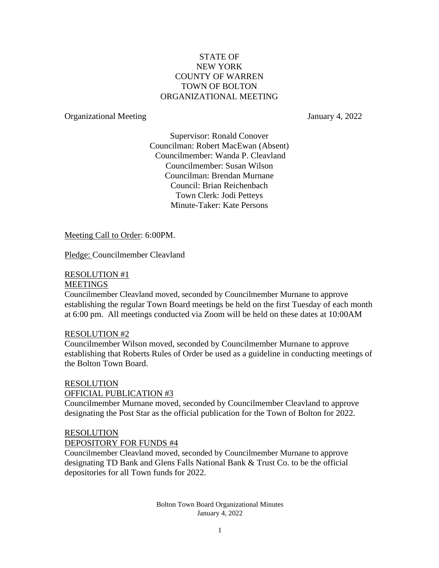### STATE OF NEW YORK COUNTY OF WARREN TOWN OF BOLTON ORGANIZATIONAL MEETING

### Organizational Meeting January 4, 2022

Supervisor: Ronald Conover Councilman: Robert MacEwan (Absent) Councilmember: Wanda P. Cleavland Councilmember: Susan Wilson Councilman: Brendan Murnane Council: Brian Reichenbach Town Clerk: Jodi Petteys Minute-Taker: Kate Persons

Meeting Call to Order: 6:00PM.

Pledge: Councilmember Cleavland

### RESOLUTION #1

### **MEETINGS**

Councilmember Cleavland moved, seconded by Councilmember Murnane to approve establishing the regular Town Board meetings be held on the first Tuesday of each month at 6:00 pm. All meetings conducted via Zoom will be held on these dates at 10:00AM

### RESOLUTION #2

Councilmember Wilson moved, seconded by Councilmember Murnane to approve establishing that Roberts Rules of Order be used as a guideline in conducting meetings of the Bolton Town Board.

### RESOLUTION

### OFFICIAL PUBLICATION #3

Councilmember Murnane moved, seconded by Councilmember Cleavland to approve designating the Post Star as the official publication for the Town of Bolton for 2022.

### RESOLUTION

### DEPOSITORY FOR FUNDS #4

Councilmember Cleavland moved, seconded by Councilmember Murnane to approve designating TD Bank and Glens Falls National Bank & Trust Co. to be the official depositories for all Town funds for 2022.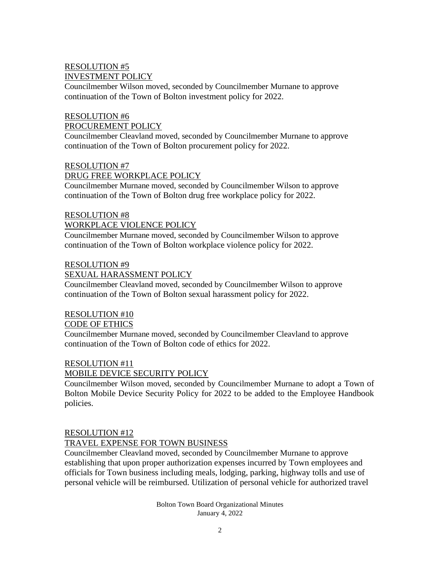# RESOLUTION #5 INVESTMENT POLICY

Councilmember Wilson moved, seconded by Councilmember Murnane to approve continuation of the Town of Bolton investment policy for 2022.

### RESOLUTION #6 PROCUREMENT POLICY

Councilmember Cleavland moved, seconded by Councilmember Murnane to approve continuation of the Town of Bolton procurement policy for 2022.

### RESOLUTION #7

### DRUG FREE WORKPLACE POLICY

Councilmember Murnane moved, seconded by Councilmember Wilson to approve continuation of the Town of Bolton drug free workplace policy for 2022.

# RESOLUTION #8

### WORKPLACE VIOLENCE POLICY

Councilmember Murnane moved, seconded by Councilmember Wilson to approve continuation of the Town of Bolton workplace violence policy for 2022.

### RESOLUTION #9

# SEXUAL HARASSMENT POLICY

Councilmember Cleavland moved, seconded by Councilmember Wilson to approve continuation of the Town of Bolton sexual harassment policy for 2022.

# RESOLUTION #10

# CODE OF ETHICS

Councilmember Murnane moved, seconded by Councilmember Cleavland to approve continuation of the Town of Bolton code of ethics for 2022.

# RESOLUTION #11

# MOBILE DEVICE SECURITY POLICY

Councilmember Wilson moved, seconded by Councilmember Murnane to adopt a Town of Bolton Mobile Device Security Policy for 2022 to be added to the Employee Handbook policies.

### RESOLUTION #12

# TRAVEL EXPENSE FOR TOWN BUSINESS

Councilmember Cleavland moved, seconded by Councilmember Murnane to approve establishing that upon proper authorization expenses incurred by Town employees and officials for Town business including meals, lodging, parking, highway tolls and use of personal vehicle will be reimbursed. Utilization of personal vehicle for authorized travel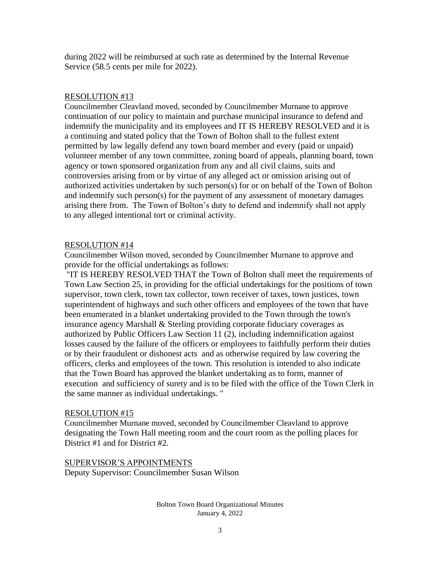during 2022 will be reimbursed at such rate as determined by the Internal Revenue Service (58.5 cents per mile for 2022).

### RESOLUTION #13

Councilmember Cleavland moved, seconded by Councilmember Murnane to approve continuation of our policy to maintain and purchase municipal insurance to defend and indemnify the municipality and its employees and IT IS HEREBY RESOLVED and it is a continuing and stated policy that the Town of Bolton shall to the fullest extent permitted by law legally defend any town board member and every (paid or unpaid) volunteer member of any town committee, zoning board of appeals, planning board, town agency or town sponsored organization from any and all civil claims, suits and controversies arising from or by virtue of any alleged act or omission arising out of authorized activities undertaken by such person(s) for or on behalf of the Town of Bolton and indemnify such person(s) for the payment of any assessment of monetary damages arising there from. The Town of Bolton's duty to defend and indemnify shall not apply to any alleged intentional tort or criminal activity.

### RESOLUTION #14

Councilmember Wilson moved, seconded by Councilmember Murnane to approve and provide for the official undertakings as follows:

"IT IS HEREBY RESOLVED THAT the Town of Bolton shall meet the requirements of Town Law Section 25, in providing for the official undertakings for the positions of town supervisor, town clerk, town tax collector, town receiver of taxes, town justices, town superintendent of highways and such other officers and employees of the town that have been enumerated in a blanket undertaking provided to the Town through the town's insurance agency Marshall & Sterling providing corporate fiduciary coverages as authorized by Public Officers Law Section 11 (2), including indemnification against losses caused by the failure of the officers or employees to faithfully perform their duties or by their fraudulent or dishonest acts and as otherwise required by law covering the officers, clerks and employees of the town. This resolution is intended to also indicate that the Town Board has approved the blanket undertaking as to form, manner of execution and sufficiency of surety and is to be filed with the office of the Town Clerk in the same manner as individual undertakings. "

### RESOLUTION #15

Councilmember Murnane moved, seconded by Councilmember Cleavland to approve designating the Town Hall meeting room and the court room as the polling places for District #1 and for District #2.

SUPERVISOR'S APPOINTMENTS

Deputy Supervisor: Councilmember Susan Wilson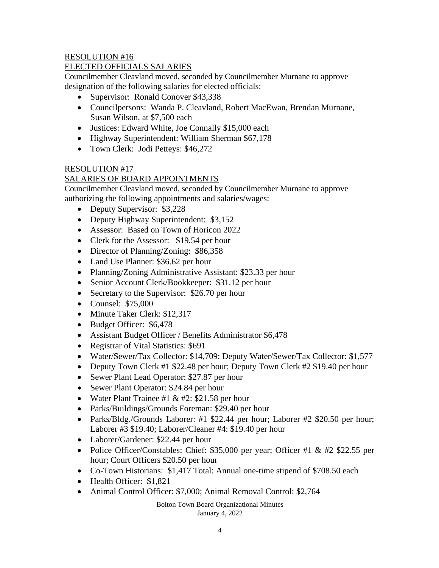# RESOLUTION #16

# ELECTED OFFICIALS SALARIES

Councilmember Cleavland moved, seconded by Councilmember Murnane to approve designation of the following salaries for elected officials:

- Supervisor: Ronald Conover \$43,338
- Councilpersons: Wanda P. Cleavland, Robert MacEwan, Brendan Murnane, Susan Wilson, at \$7,500 each
- Justices: Edward White, Joe Connally \$15,000 each
- Highway Superintendent: William Sherman \$67,178
- Town Clerk: Jodi Petteys: \$46,272

# RESOLUTION #17

# SALARIES OF BOARD APPOINTMENTS

Councilmember Cleavland moved, seconded by Councilmember Murnane to approve authorizing the following appointments and salaries/wages:

- Deputy Supervisor: \$3,228
- Deputy Highway Superintendent: \$3,152
- Assessor: Based on Town of Horicon 2022
- Clerk for the Assessor: \$19.54 per hour
- Director of Planning/Zoning: \$86,358
- Land Use Planner: \$36.62 per hour
- Planning/Zoning Administrative Assistant: \$23.33 per hour
- Senior Account Clerk/Bookkeeper: \$31.12 per hour
- Secretary to the Supervisor: \$26.70 per hour
- Counsel: \$75,000
- Minute Taker Clerk: \$12,317
- Budget Officer: \$6,478
- Assistant Budget Officer / Benefits Administrator \$6,478
- Registrar of Vital Statistics: \$691
- Water/Sewer/Tax Collector: \$14,709; Deputy Water/Sewer/Tax Collector: \$1,577
- Deputy Town Clerk #1 \$22.48 per hour; Deputy Town Clerk #2 \$19.40 per hour
- Sewer Plant Lead Operator: \$27.87 per hour
- Sewer Plant Operator: \$24.84 per hour
- Water Plant Trainee #1 & #2: \$21.58 per hour
- Parks/Buildings/Grounds Foreman: \$29.40 per hour
- Parks/Bldg./Grounds Laborer: #1 \$22.44 per hour; Laborer #2 \$20.50 per hour; Laborer #3 \$19.40; Laborer/Cleaner #4: \$19.40 per hour
- Laborer/Gardener: \$22.44 per hour
- Police Officer/Constables: Chief: \$35,000 per year; Officer #1 & #2 \$22.55 per hour; Court Officers \$20.50 per hour
- Co-Town Historians: \$1,417 Total: Annual one-time stipend of \$708.50 each
- Health Officer: \$1,821
- Animal Control Officer: \$7,000; Animal Removal Control: \$2,764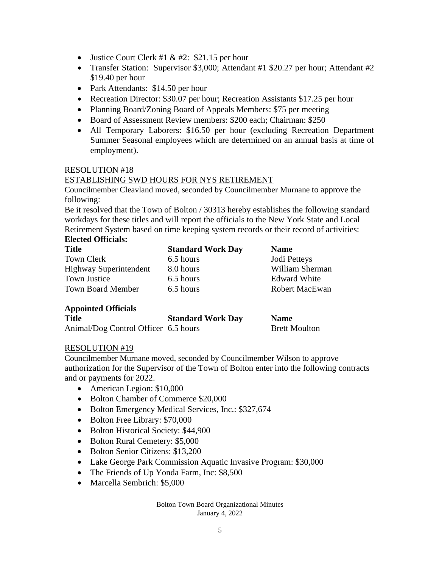- Justice Court Clerk #1 & #2: \$21.15 per hour
- Transfer Station: Supervisor \$3,000; Attendant #1 \$20.27 per hour; Attendant #2 \$19.40 per hour
- Park Attendants: \$14.50 per hour
- Recreation Director: \$30.07 per hour; Recreation Assistants \$17.25 per hour
- Planning Board/Zoning Board of Appeals Members: \$75 per meeting
- Board of Assessment Review members: \$200 each: Chairman: \$250
- All Temporary Laborers: \$16.50 per hour (excluding Recreation Department Summer Seasonal employees which are determined on an annual basis at time of employment).

### RESOLUTION #18

### ESTABLISHING SWD HOURS FOR NYS RETIREMENT

Councilmember Cleavland moved, seconded by Councilmember Murnane to approve the following:

Be it resolved that the Town of Bolton / 30313 hereby establishes the following standard workdays for these titles and will report the officials to the New York State and Local Retirement System based on time keeping system records or their record of activities: **Elected Officials:** 

| <b>Title</b>             | <b>Standard Work Day</b> | <b>Name</b>           |
|--------------------------|--------------------------|-----------------------|
| Town Clerk               | 6.5 hours                | Jodi Petteys          |
| Highway Superintendent   | 8.0 hours                | William Sherman       |
| <b>Town Justice</b>      | 6.5 hours                | <b>Edward White</b>   |
| <b>Town Board Member</b> | 6.5 hours                | <b>Robert MacEwan</b> |

# **Appointed Officials**

| <b>Title</b>                         | <b>Standard Work Day</b> | <b>Name</b>          |
|--------------------------------------|--------------------------|----------------------|
| Animal/Dog Control Officer 6.5 hours |                          | <b>Brett Moulton</b> |

### RESOLUTION #19

Councilmember Murnane moved, seconded by Councilmember Wilson to approve authorization for the Supervisor of the Town of Bolton enter into the following contracts and or payments for 2022.

- American Legion: \$10,000
- Bolton Chamber of Commerce \$20,000
- Bolton Emergency Medical Services, Inc.: \$327,674
- Bolton Free Library: \$70,000
- Bolton Historical Society: \$44,900
- Bolton Rural Cemetery: \$5,000
- Bolton Senior Citizens: \$13,200
- Lake George Park Commission Aquatic Invasive Program: \$30,000
- The Friends of Up Yonda Farm, Inc: \$8,500
- Marcella Sembrich: \$5,000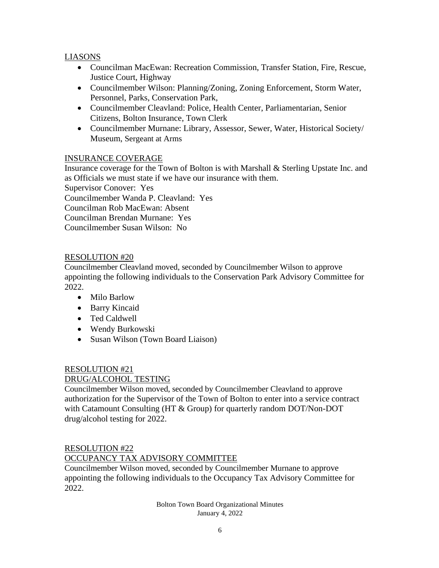# LIASONS

- Councilman MacEwan: Recreation Commission, Transfer Station, Fire, Rescue, Justice Court, Highway
- Councilmember Wilson: Planning/Zoning, Zoning Enforcement, Storm Water, Personnel, Parks, Conservation Park,
- Councilmember Cleavland: Police, Health Center, Parliamentarian, Senior Citizens, Bolton Insurance, Town Clerk
- Councilmember Murnane: Library, Assessor, Sewer, Water, Historical Society/ Museum, Sergeant at Arms

# INSURANCE COVERAGE

Insurance coverage for the Town of Bolton is with Marshall & Sterling Upstate Inc. and as Officials we must state if we have our insurance with them. Supervisor Conover: Yes Councilmember Wanda P. Cleavland: Yes Councilman Rob MacEwan: Absent Councilman Brendan Murnane: Yes Councilmember Susan Wilson: No

### RESOLUTION #20

Councilmember Cleavland moved, seconded by Councilmember Wilson to approve appointing the following individuals to the Conservation Park Advisory Committee for 2022.

- Milo Barlow
- Barry Kincaid
- Ted Caldwell
- Wendy Burkowski
- Susan Wilson (Town Board Liaison)

# RESOLUTION #21

# DRUG/ALCOHOL TESTING

Councilmember Wilson moved, seconded by Councilmember Cleavland to approve authorization for the Supervisor of the Town of Bolton to enter into a service contract with Catamount Consulting (HT & Group) for quarterly random DOT/Non-DOT drug/alcohol testing for 2022.

# RESOLUTION #22 OCCUPANCY TAX ADVISORY COMMITTEE

Councilmember Wilson moved, seconded by Councilmember Murnane to approve appointing the following individuals to the Occupancy Tax Advisory Committee for 2022.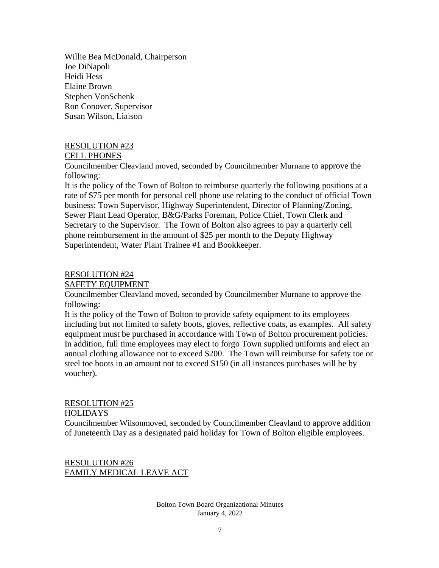Willie Bea McDonald, Chairperson Joe DiNapoli Heidi Hess Elaine Brown Stephen VonSchenk Ron Conover, Supervisor Susan Wilson, Liaison

### RESOLUTION #23

### CELL PHONES

Councilmember Cleavland moved, seconded by Councilmember Murnane to approve the following:

It is the policy of the Town of Bolton to reimburse quarterly the following positions at a rate of \$75 per month for personal cell phone use relating to the conduct of official Town business: Town Supervisor, Highway Superintendent, Director of Planning/Zoning, Sewer Plant Lead Operator, B&G/Parks Foreman, Police Chief, Town Clerk and Secretary to the Supervisor. The Town of Bolton also agrees to pay a quarterly cell phone reimbursement in the amount of \$25 per month to the Deputy Highway Superintendent, Water Plant Trainee #1 and Bookkeeper.

### RESOLUTION #24

SAFETY EQUIPMENT

Councilmember Cleavland moved, seconded by Councilmember Murnane to approve the following:

It is the policy of the Town of Bolton to provide safety equipment to its employees including but not limited to safety boots, gloves, reflective coats, as examples. All safety equipment must be purchased in accordance with Town of Bolton procurement policies. In addition, full time employees may elect to forgo Town supplied uniforms and elect an annual clothing allowance not to exceed \$200. The Town will reimburse for safety toe or steel toe boots in an amount not to exceed \$150 (in all instances purchases will be by voucher).

### RESOLUTION #25

### **HOLIDAYS**

Councilmember Wilsonmoved, seconded by Councilmember Cleavland to approve addition of Juneteenth Day as a designated paid holiday for Town of Bolton eligible employees.

RESOLUTION #26 FAMILY MEDICAL LEAVE ACT